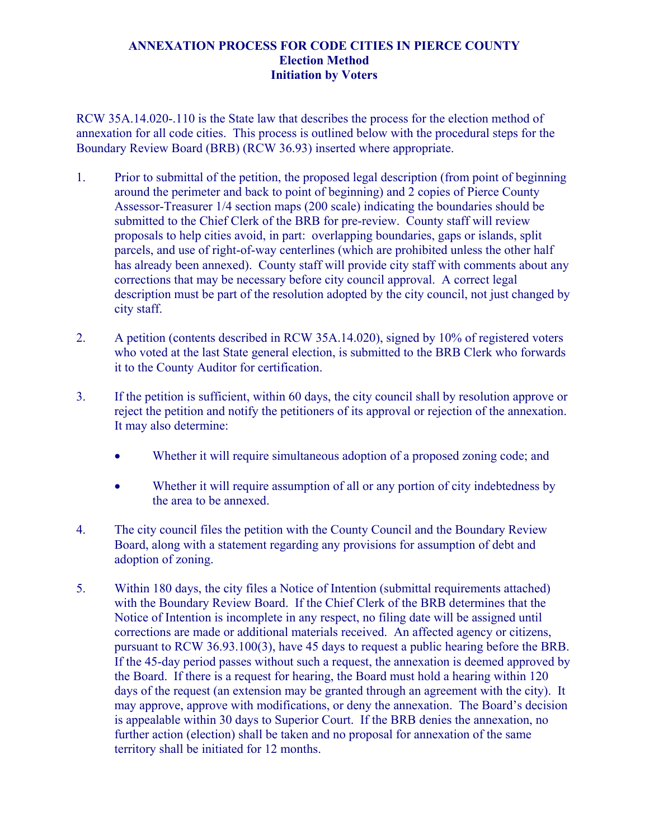## **ANNEXATION PROCESS FOR CODE CITIES IN PIERCE COUNTY Election Method Initiation by Voters**

RCW 35A.14.020-.110 is the State law that describes the process for the election method of annexation for all code cities. This process is outlined below with the procedural steps for the Boundary Review Board (BRB) (RCW 36.93) inserted where appropriate.

- 1. Prior to submittal of the petition, the proposed legal description (from point of beginning around the perimeter and back to point of beginning) and 2 copies of Pierce County Assessor-Treasurer 1/4 section maps (200 scale) indicating the boundaries should be submitted to the Chief Clerk of the BRB for pre-review. County staff will review proposals to help cities avoid, in part: overlapping boundaries, gaps or islands, split parcels, and use of right-of-way centerlines (which are prohibited unless the other half has already been annexed). County staff will provide city staff with comments about any corrections that may be necessary before city council approval. A correct legal description must be part of the resolution adopted by the city council, not just changed by city staff.
- 2. A petition (contents described in RCW 35A.14.020), signed by 10% of registered voters who voted at the last State general election, is submitted to the BRB Clerk who forwards it to the County Auditor for certification.
- 3. If the petition is sufficient, within 60 days, the city council shall by resolution approve or reject the petition and notify the petitioners of its approval or rejection of the annexation. It may also determine:
	- Whether it will require simultaneous adoption of a proposed zoning code; and
	- Whether it will require assumption of all or any portion of city indebtedness by the area to be annexed.
- 4. The city council files the petition with the County Council and the Boundary Review Board, along with a statement regarding any provisions for assumption of debt and adoption of zoning.
- 5. Within 180 days, the city files a Notice of Intention (submittal requirements attached) with the Boundary Review Board. If the Chief Clerk of the BRB determines that the Notice of Intention is incomplete in any respect, no filing date will be assigned until corrections are made or additional materials received. An affected agency or citizens, pursuant to RCW 36.93.100(3), have 45 days to request a public hearing before the BRB. If the 45-day period passes without such a request, the annexation is deemed approved by the Board. If there is a request for hearing, the Board must hold a hearing within 120 days of the request (an extension may be granted through an agreement with the city). It may approve, approve with modifications, or deny the annexation. The Board's decision is appealable within 30 days to Superior Court. If the BRB denies the annexation, no further action (election) shall be taken and no proposal for annexation of the same territory shall be initiated for 12 months.